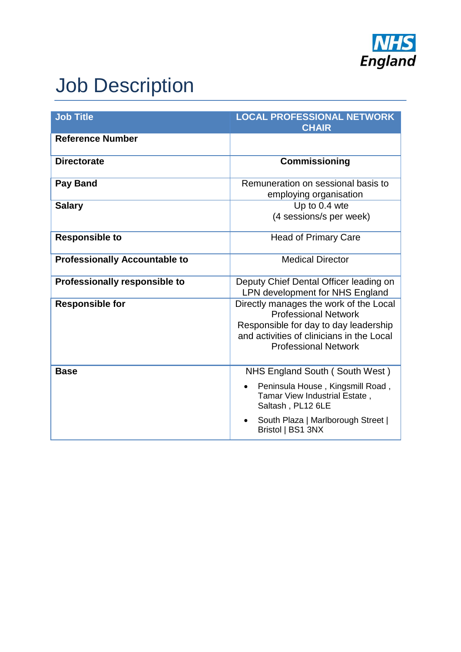

## Job Description

| <b>Job Title</b>                     | <b>LOCAL PROFESSIONAL NETWORK</b><br><b>CHAIR</b>                                                                                                                                          |  |
|--------------------------------------|--------------------------------------------------------------------------------------------------------------------------------------------------------------------------------------------|--|
| <b>Reference Number</b>              |                                                                                                                                                                                            |  |
| <b>Directorate</b>                   | <b>Commissioning</b>                                                                                                                                                                       |  |
| <b>Pay Band</b>                      | Remuneration on sessional basis to<br>employing organisation                                                                                                                               |  |
| <b>Salary</b>                        | Up to 0.4 wte<br>(4 sessions/s per week)                                                                                                                                                   |  |
| <b>Responsible to</b>                | <b>Head of Primary Care</b>                                                                                                                                                                |  |
| <b>Professionally Accountable to</b> | <b>Medical Director</b>                                                                                                                                                                    |  |
| Professionally responsible to        | Deputy Chief Dental Officer leading on<br>LPN development for NHS England                                                                                                                  |  |
| <b>Responsible for</b>               | Directly manages the work of the Local<br><b>Professional Network</b><br>Responsible for day to day leadership<br>and activities of clinicians in the Local<br><b>Professional Network</b> |  |
| <b>Base</b>                          | NHS England South (South West)<br>Peninsula House, Kingsmill Road,<br>Tamar View Industrial Estate,<br>Saltash, PL12 6LE                                                                   |  |
|                                      | South Plaza   Marlborough Street  <br>Bristol   BS1 3NX                                                                                                                                    |  |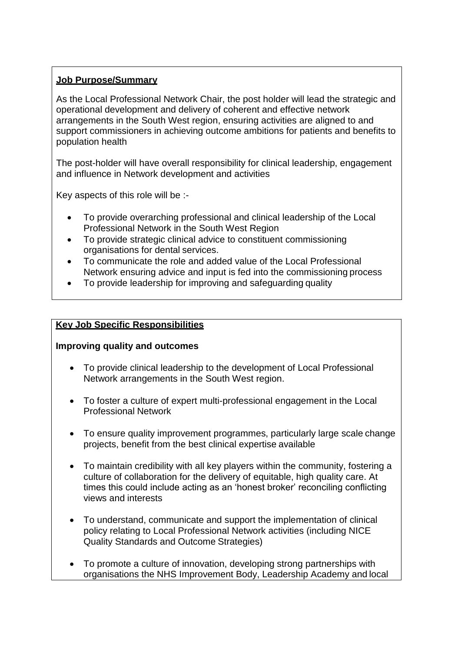#### **Job Purpose/Summary**

As the Local Professional Network Chair, the post holder will lead the strategic and operational development and delivery of coherent and effective network arrangements in the South West region, ensuring activities are aligned to and support commissioners in achieving outcome ambitions for patients and benefits to population health

The post-holder will have overall responsibility for clinical leadership, engagement and influence in Network development and activities

Key aspects of this role will be :-

- To provide overarching professional and clinical leadership of the Local Professional Network in the South West Region
- To provide strategic clinical advice to constituent commissioning organisations for dental services.
- To communicate the role and added value of the Local Professional Network ensuring advice and input is fed into the commissioning process
- To provide leadership for improving and safeguarding quality

#### **Key Job Specific Responsibilities**

#### **Improving quality and outcomes**

- To provide clinical leadership to the development of Local Professional Network arrangements in the South West region.
- To foster a culture of expert multi-professional engagement in the Local Professional Network
- To ensure quality improvement programmes, particularly large scale change projects, benefit from the best clinical expertise available
- To maintain credibility with all key players within the community, fostering a culture of collaboration for the delivery of equitable, high quality care. At times this could include acting as an 'honest broker' reconciling conflicting views and interests
- To understand, communicate and support the implementation of clinical policy relating to Local Professional Network activities (including NICE Quality Standards and Outcome Strategies)
- To promote a culture of innovation, developing strong partnerships with organisations the NHS Improvement Body, Leadership Academy and local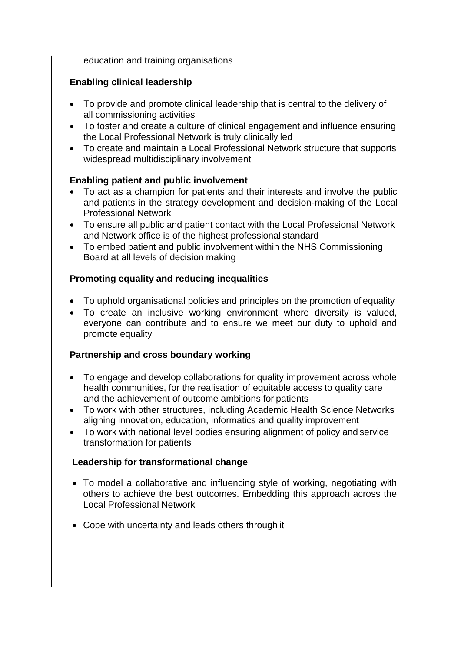education and training organisations

#### **Enabling clinical leadership**

- To provide and promote clinical leadership that is central to the delivery of all commissioning activities
- To foster and create a culture of clinical engagement and influence ensuring the Local Professional Network is truly clinically led
- To create and maintain a Local Professional Network structure that supports widespread multidisciplinary involvement

#### **Enabling patient and public involvement**

- To act as a champion for patients and their interests and involve the public and patients in the strategy development and decision-making of the Local Professional Network
- To ensure all public and patient contact with the Local Professional Network and Network office is of the highest professional standard
- To embed patient and public involvement within the NHS Commissioning Board at all levels of decision making

#### **Promoting equality and reducing inequalities**

- To uphold organisational policies and principles on the promotion of equality
- To create an inclusive working environment where diversity is valued, everyone can contribute and to ensure we meet our duty to uphold and promote equality

#### **Partnership and cross boundary working**

- To engage and develop collaborations for quality improvement across whole health communities, for the realisation of equitable access to quality care and the achievement of outcome ambitions for patients
- To work with other structures, including Academic Health Science Networks aligning innovation, education, informatics and quality improvement
- To work with national level bodies ensuring alignment of policy and service transformation for patients

#### **Leadership for transformational change**

- To model a collaborative and influencing style of working, negotiating with others to achieve the best outcomes. Embedding this approach across the Local Professional Network
- Cope with uncertainty and leads others through it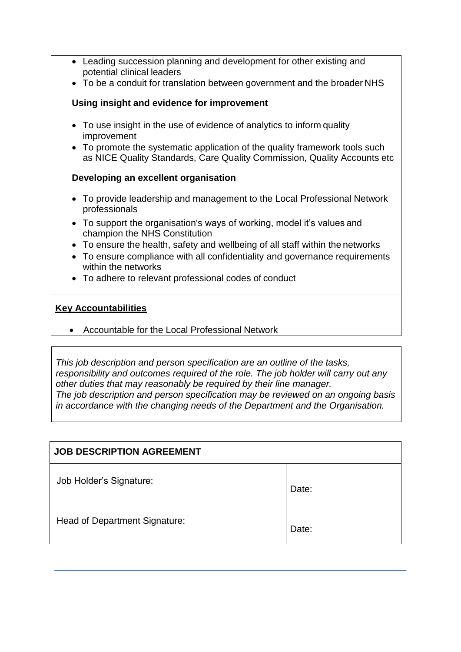- Leading succession planning and development for other existing and potential clinical leaders
- To be a conduit for translation between government and the broader NHS

#### **Using insight and evidence for improvement**

- To use insight in the use of evidence of analytics to inform quality improvement
- To promote the systematic application of the quality framework tools such as NICE Quality Standards, Care Quality Commission, Quality Accounts etc

#### **Developing an excellent organisation**

- To provide leadership and management to the Local Professional Network professionals
- To support the organisation's ways of working, model it's values and champion the NHS Constitution
- To ensure the health, safety and wellbeing of all staff within the networks
- To ensure compliance with all confidentiality and governance requirements within the networks
- To adhere to relevant professional codes of conduct

#### **Key Accountabilities**

Accountable for the Local Professional Network

*This job description and person specification are an outline of the tasks, responsibility and outcomes required of the role. The job holder will carry out any other duties that may reasonably be required by their line manager. The job description and person specification may be reviewed on an ongoing basis in accordance with the changing needs of the Department and the Organisation.*

| <b>JOB DESCRIPTION AGREEMENT</b>     |       |
|--------------------------------------|-------|
| Job Holder's Signature:              | Date: |
| <b>Head of Department Signature:</b> | Date: |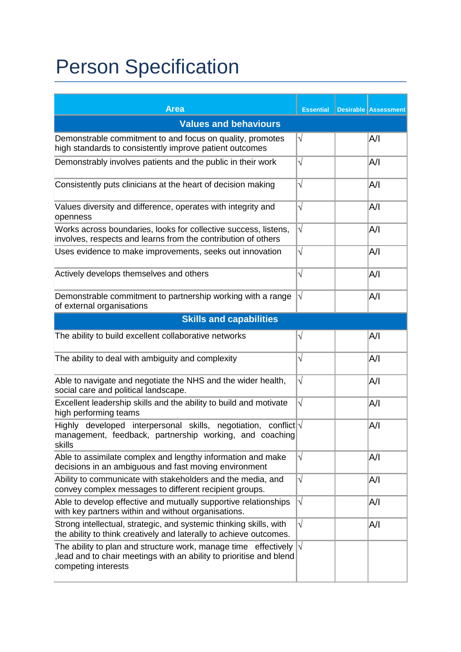# Person Specification

| <b>Area</b>                                                                                                                                                  | <b>Essential</b> |  | <b>Desirable Assessment</b> |  |  |
|--------------------------------------------------------------------------------------------------------------------------------------------------------------|------------------|--|-----------------------------|--|--|
| <b>Values and behaviours</b>                                                                                                                                 |                  |  |                             |  |  |
| Demonstrable commitment to and focus on quality, promotes<br>high standards to consistently improve patient outcomes                                         | $\sqrt{}$        |  | A/I                         |  |  |
| Demonstrably involves patients and the public in their work                                                                                                  | $\sqrt{}$        |  | A/I                         |  |  |
| Consistently puts clinicians at the heart of decision making                                                                                                 | $\sqrt{}$        |  | A/I                         |  |  |
| Values diversity and difference, operates with integrity and<br>openness                                                                                     | $\sqrt{}$        |  | A/I                         |  |  |
| Works across boundaries, looks for collective success, listens,<br>involves, respects and learns from the contribution of others                             | $\sqrt{}$        |  | A/I                         |  |  |
| Uses evidence to make improvements, seeks out innovation                                                                                                     | $\sqrt{}$        |  | A/I                         |  |  |
| Actively develops themselves and others                                                                                                                      | $\sqrt{}$        |  | A/I                         |  |  |
| Demonstrable commitment to partnership working with a range<br>of external organisations                                                                     | $\sqrt{}$        |  | A/I                         |  |  |
| <b>Skills and capabilities</b>                                                                                                                               |                  |  |                             |  |  |
| The ability to build excellent collaborative networks                                                                                                        | $\sqrt{}$        |  | A/I                         |  |  |
| The ability to deal with ambiguity and complexity                                                                                                            | $\sqrt{}$        |  | A/I                         |  |  |
| Able to navigate and negotiate the NHS and the wider health,<br>social care and political landscape.                                                         | $\sqrt{}$        |  | A/I                         |  |  |
| Excellent leadership skills and the ability to build and motivate<br>high performing teams                                                                   | $\sqrt{}$        |  | A/I                         |  |  |
| Highly developed interpersonal skills, negotiation, conflict $\sqrt{ }$<br>management, feedback, partnership working, and coaching<br>skills                 |                  |  | A/I                         |  |  |
| Able to assimilate complex and lengthy information and make<br>decisions in an ambiguous and fast moving environment                                         | $\sqrt{}$        |  | A/I                         |  |  |
| Ability to communicate with stakeholders and the media, and<br>convey complex messages to different recipient groups.                                        | $\sqrt{}$        |  | A/I                         |  |  |
| Able to develop effective and mutually supportive relationships<br>with key partners within and without organisations.                                       | $\sqrt{}$        |  | A/I                         |  |  |
| Strong intellectual, strategic, and systemic thinking skills, with<br>the ability to think creatively and laterally to achieve outcomes.                     | $\sqrt{}$        |  | A/I                         |  |  |
| The ability to plan and structure work, manage time effectively<br>lead and to chair meetings with an ability to prioritise and blend<br>competing interests | $\sqrt{}$        |  |                             |  |  |